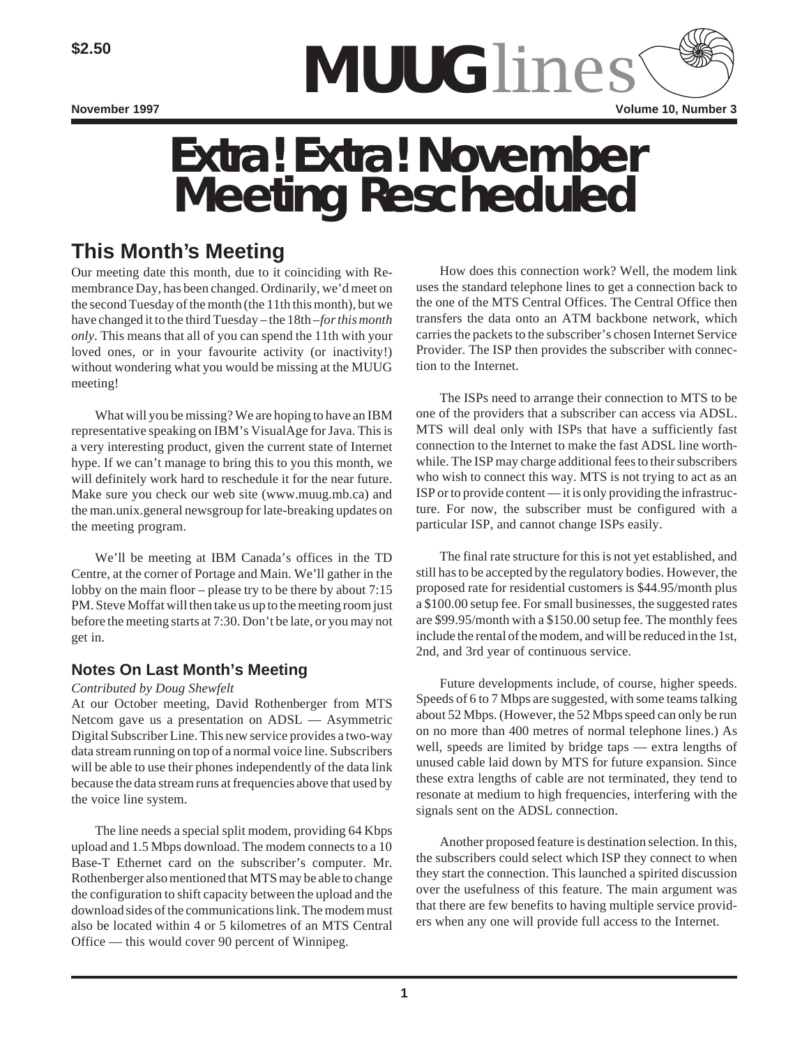

# *Extra! Extra!* **November Meeting Rescheduled**

## **This Month's Meeting**

Our meeting date this month, due to it coinciding with Remembrance Day, has been changed. Ordinarily, we'd meet on the second Tuesday of the month (the 11th this month), but we have changed it to the third Tuesday – the 18th – *for this month only*. This means that all of you can spend the 11th with your loved ones, or in your favourite activity (or inactivity!) without wondering what you would be missing at the MUUG meeting!

What will you be missing? We are hoping to have an IBM representative speaking on IBM's VisualAge for Java. This is a very interesting product, given the current state of Internet hype. If we can't manage to bring this to you this month, we will definitely work hard to reschedule it for the near future. Make sure you check our web site (www.muug.mb.ca) and the man.unix.general newsgroup for late-breaking updates on the meeting program.

We'll be meeting at IBM Canada's offices in the TD Centre, at the corner of Portage and Main. We'll gather in the lobby on the main floor – please try to be there by about 7:15 PM. Steve Moffat will then take us up to the meeting room just before the meeting starts at 7:30. Don't be late, or you may not get in.

### **Notes On Last Month's Meeting**

#### *Contributed by Doug Shewfelt*

At our October meeting, David Rothenberger from MTS Netcom gave us a presentation on ADSL — Asymmetric Digital Subscriber Line. This new service provides a two-way data stream running on top of a normal voice line. Subscribers will be able to use their phones independently of the data link because the data stream runs at frequencies above that used by the voice line system.

The line needs a special split modem, providing 64 Kbps upload and 1.5 Mbps download. The modem connects to a 10 Base-T Ethernet card on the subscriber's computer. Mr. Rothenberger also mentioned that MTS may be able to change the configuration to shift capacity between the upload and the download sides of the communications link. The modem must also be located within 4 or 5 kilometres of an MTS Central Office — this would cover 90 percent of Winnipeg.

How does this connection work? Well, the modem link uses the standard telephone lines to get a connection back to the one of the MTS Central Offices. The Central Office then transfers the data onto an ATM backbone network, which carries the packets to the subscriber's chosen Internet Service Provider. The ISP then provides the subscriber with connection to the Internet.

The ISPs need to arrange their connection to MTS to be one of the providers that a subscriber can access via ADSL. MTS will deal only with ISPs that have a sufficiently fast connection to the Internet to make the fast ADSL line worthwhile. The ISP may charge additional fees to their subscribers who wish to connect this way. MTS is not trying to act as an ISP or to provide content — it is only providing the infrastructure. For now, the subscriber must be configured with a particular ISP, and cannot change ISPs easily.

The final rate structure for this is not yet established, and still has to be accepted by the regulatory bodies. However, the proposed rate for residential customers is \$44.95/month plus a \$100.00 setup fee. For small businesses, the suggested rates are \$99.95/month with a \$150.00 setup fee. The monthly fees include the rental of the modem, and will be reduced in the 1st, 2nd, and 3rd year of continuous service.

Future developments include, of course, higher speeds. Speeds of 6 to 7 Mbps are suggested, with some teams talking about 52 Mbps. (However, the 52 Mbps speed can only be run on no more than 400 metres of normal telephone lines.) As well, speeds are limited by bridge taps — extra lengths of unused cable laid down by MTS for future expansion. Since these extra lengths of cable are not terminated, they tend to resonate at medium to high frequencies, interfering with the signals sent on the ADSL connection.

Another proposed feature is destination selection. In this, the subscribers could select which ISP they connect to when they start the connection. This launched a spirited discussion over the usefulness of this feature. The main argument was that there are few benefits to having multiple service providers when any one will provide full access to the Internet.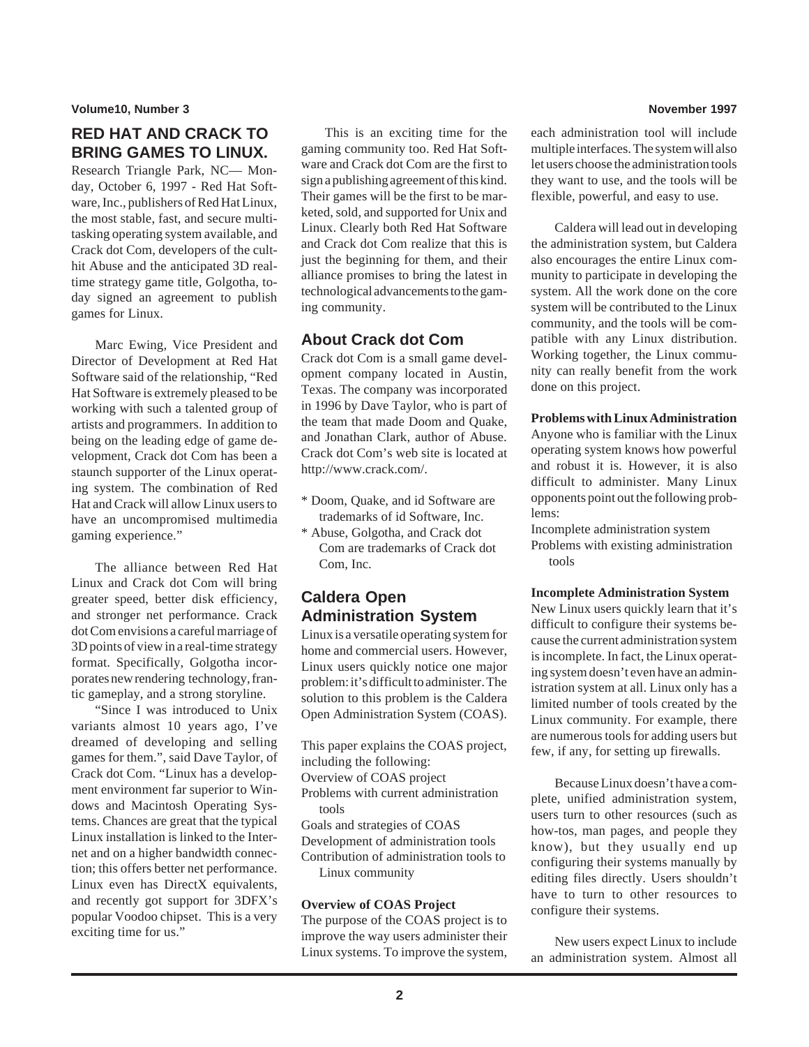**Volume10, Number 3 November 1997**

## **RED HAT AND CRACK TO BRING GAMES TO LINUX.**

Research Triangle Park, NC— Monday, October 6, 1997 - Red Hat Software, Inc., publishers of Red Hat Linux, the most stable, fast, and secure multitasking operating system available, and Crack dot Com, developers of the culthit Abuse and the anticipated 3D realtime strategy game title, Golgotha, today signed an agreement to publish games for Linux.

Marc Ewing, Vice President and Director of Development at Red Hat Software said of the relationship, "Red Hat Software is extremely pleased to be working with such a talented group of artists and programmers. In addition to being on the leading edge of game development, Crack dot Com has been a staunch supporter of the Linux operating system. The combination of Red Hat and Crack will allow Linux users to have an uncompromised multimedia gaming experience."

The alliance between Red Hat Linux and Crack dot Com will bring greater speed, better disk efficiency, and stronger net performance. Crack dot Com envisions a careful marriage of 3D points of view in a real-time strategy format. Specifically, Golgotha incorporates new rendering technology, frantic gameplay, and a strong storyline.

"Since I was introduced to Unix variants almost 10 years ago, I've dreamed of developing and selling games for them.", said Dave Taylor, of Crack dot Com. "Linux has a development environment far superior to Windows and Macintosh Operating Systems. Chances are great that the typical Linux installation is linked to the Internet and on a higher bandwidth connection; this offers better net performance. Linux even has DirectX equivalents, and recently got support for 3DFX's popular Voodoo chipset. This is a very exciting time for us."

This is an exciting time for the gaming community too. Red Hat Software and Crack dot Com are the first to sign a publishing agreement of this kind. Their games will be the first to be marketed, sold, and supported for Unix and Linux. Clearly both Red Hat Software and Crack dot Com realize that this is just the beginning for them, and their alliance promises to bring the latest in technological advancements to the gaming community.

### **About Crack dot Com**

Crack dot Com is a small game development company located in Austin, Texas. The company was incorporated in 1996 by Dave Taylor, who is part of the team that made Doom and Quake, and Jonathan Clark, author of Abuse. Crack dot Com's web site is located at http://www.crack.com/.

- \* Doom, Quake, and id Software are trademarks of id Software, Inc.
- \* Abuse, Golgotha, and Crack dot Com are trademarks of Crack dot Com, Inc.

## **Caldera Open Administration System**

Linux is a versatile operating system for home and commercial users. However, Linux users quickly notice one major problem: it's difficult to administer. The solution to this problem is the Caldera Open Administration System (COAS).

This paper explains the COAS project, including the following: Overview of COAS project Problems with current administration tools Goals and strategies of COAS Development of administration tools Contribution of administration tools to Linux community

### **Overview of COAS Project**

The purpose of the COAS project is to improve the way users administer their Linux systems. To improve the system,

each administration tool will include multiple interfaces. The system will also let users choose the administration tools they want to use, and the tools will be flexible, powerful, and easy to use.

Caldera will lead out in developing the administration system, but Caldera also encourages the entire Linux community to participate in developing the system. All the work done on the core system will be contributed to the Linux community, and the tools will be compatible with any Linux distribution. Working together, the Linux community can really benefit from the work done on this project.

**Problems with Linux Administration**

Anyone who is familiar with the Linux operating system knows how powerful and robust it is. However, it is also difficult to administer. Many Linux opponents point out the following problems:

Incomplete administration system Problems with existing administration tools

#### **Incomplete Administration System**

New Linux users quickly learn that it's difficult to configure their systems because the current administration system is incomplete. In fact, the Linux operating system doesn't even have an administration system at all. Linux only has a limited number of tools created by the Linux community. For example, there are numerous tools for adding users but few, if any, for setting up firewalls.

Because Linux doesn't have a complete, unified administration system, users turn to other resources (such as how-tos, man pages, and people they know), but they usually end up configuring their systems manually by editing files directly. Users shouldn't have to turn to other resources to configure their systems.

New users expect Linux to include an administration system. Almost all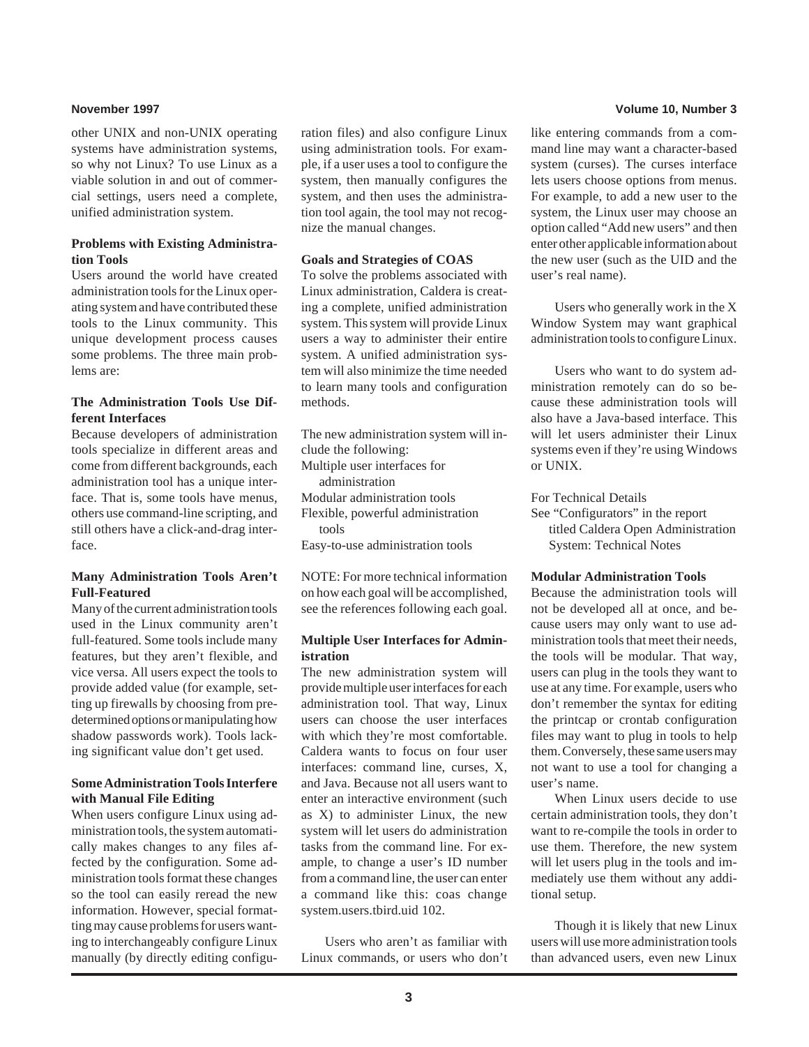other UNIX and non-UNIX operating systems have administration systems, so why not Linux? To use Linux as a viable solution in and out of commercial settings, users need a complete, unified administration system.

#### **Problems with Existing Administration Tools**

Users around the world have created administration tools for the Linux operating system and have contributed these tools to the Linux community. This unique development process causes some problems. The three main problems are:

#### **The Administration Tools Use Different Interfaces**

Because developers of administration tools specialize in different areas and come from different backgrounds, each administration tool has a unique interface. That is, some tools have menus, others use command-line scripting, and still others have a click-and-drag interface.

#### **Many Administration Tools Aren't Full-Featured**

Many of the current administration tools used in the Linux community aren't full-featured. Some tools include many features, but they aren't flexible, and vice versa. All users expect the tools to provide added value (for example, setting up firewalls by choosing from predetermined options or manipulating how shadow passwords work). Tools lacking significant value don't get used.

#### **Some Administration Tools Interfere with Manual File Editing**

When users configure Linux using administration tools, the system automatically makes changes to any files affected by the configuration. Some administration tools format these changes so the tool can easily reread the new information. However, special formatting may cause problems for users wanting to interchangeably configure Linux manually (by directly editing configuration files) and also configure Linux using administration tools. For example, if a user uses a tool to configure the system, then manually configures the system, and then uses the administration tool again, the tool may not recognize the manual changes.

#### **Goals and Strategies of COAS**

To solve the problems associated with Linux administration, Caldera is creating a complete, unified administration system. This system will provide Linux users a way to administer their entire system. A unified administration system will also minimize the time needed to learn many tools and configuration methods.

The new administration system will include the following: Multiple user interfaces for administration Modular administration tools Flexible, powerful administration tools Easy-to-use administration tools

NOTE: For more technical information on how each goal will be accomplished, see the references following each goal.

#### **Multiple User Interfaces for Administration**

The new administration system will provide multiple user interfaces for each administration tool. That way, Linux users can choose the user interfaces with which they're most comfortable. Caldera wants to focus on four user interfaces: command line, curses, X, and Java. Because not all users want to enter an interactive environment (such as X) to administer Linux, the new system will let users do administration tasks from the command line. For example, to change a user's ID number from a command line, the user can enter a command like this: coas change system.users.tbird.uid 102.

Users who aren't as familiar with Linux commands, or users who don't

#### **November 1997 Volume 10, Number 3**

like entering commands from a command line may want a character-based system (curses). The curses interface lets users choose options from menus. For example, to add a new user to the system, the Linux user may choose an option called "Add new users" and then enter other applicable information about the new user (such as the UID and the user's real name).

Users who generally work in the X Window System may want graphical administration tools to configure Linux.

Users who want to do system administration remotely can do so because these administration tools will also have a Java-based interface. This will let users administer their Linux systems even if they're using Windows or UNIX.

For Technical Details

See "Configurators" in the report titled Caldera Open Administration System: Technical Notes

#### **Modular Administration Tools**

Because the administration tools will not be developed all at once, and because users may only want to use administration tools that meet their needs, the tools will be modular. That way, users can plug in the tools they want to use at any time. For example, users who don't remember the syntax for editing the printcap or crontab configuration files may want to plug in tools to help them. Conversely, these same users may not want to use a tool for changing a user's name.

When Linux users decide to use certain administration tools, they don't want to re-compile the tools in order to use them. Therefore, the new system will let users plug in the tools and immediately use them without any additional setup.

Though it is likely that new Linux users will use more administration tools than advanced users, even new Linux